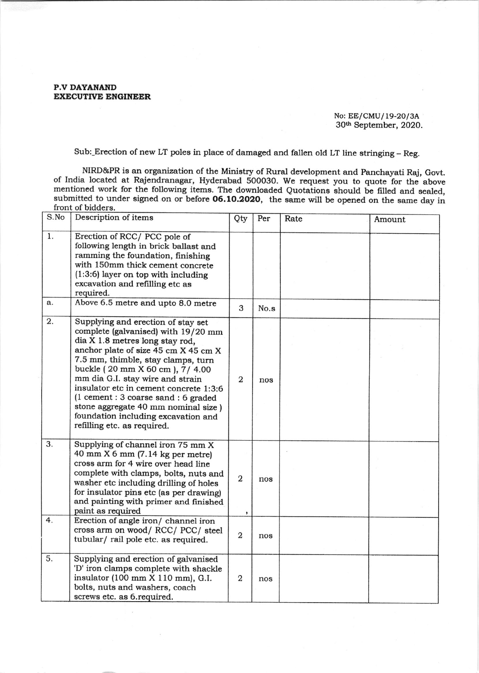P.V DAYANAND EXECUTIVE ENGINEER

## No: EE/CMU/ 19-20/3A 30h September, 2020,

Sub:\_Erection of new LT poles in place of damaged and fallen old LT line stringing - Reg.

NIRD&PR is an organization of the Ministry of Rural development and Panchayati Raj, Govt. of India located at Rajendranagar, Hyderabad 500030. We request you to quote for the above mentioned work for the following items. The downloaded Quotations should be filled and sealed, submitted to under signed on or before 06.10.2020, the same will be opened on the same day in front of bidders.

| S.No | Description of items                                                                                                                                                                                                                                                                                                                                                                                                                                              | Qty                 | Per  | Rate | Amount |
|------|-------------------------------------------------------------------------------------------------------------------------------------------------------------------------------------------------------------------------------------------------------------------------------------------------------------------------------------------------------------------------------------------------------------------------------------------------------------------|---------------------|------|------|--------|
| 1.   | Erection of RCC/PCC pole of<br>following length in brick ballast and<br>ramming the foundation, finishing<br>with 150mm thick cement concrete<br>$(1:3:6)$ layer on top with including<br>excavation and refilling etc as<br>required.                                                                                                                                                                                                                            |                     |      |      |        |
| a.   | Above 6.5 metre and upto 8.0 metre                                                                                                                                                                                                                                                                                                                                                                                                                                | 3                   | No.s |      |        |
| 2.   | Supplying and erection of stay set<br>complete (galvanised) with 19/20 mm<br>dia X 1.8 metres long stay rod,<br>anchor plate of size 45 cm X 45 cm X<br>7.5 mm, thimble, stay clamps, turn<br>buckle (20 mm X 60 cm), 7/ 4.00<br>mm dia G.I. stay wire and strain<br>insulator etc in cement concrete 1:3:6<br>(1 cement : 3 coarse sand : 6 graded<br>stone aggregate 40 mm nominal size )<br>foundation including excavation and<br>refilling etc. as required. | $\overline{2}$      | nos  |      |        |
| 3.   | Supplying of channel iron 75 mm X<br>40 mm $X$ 6 mm (7.14 kg per metre)<br>cross arm for 4 wire over head line<br>complete with clamps, bolts, nuts and<br>washer etc including drilling of holes<br>for insulator pins etc (as per drawing)<br>and painting with primer and finished<br>paint as required                                                                                                                                                        | $\overline{2}$<br>, | nos  |      |        |
| 4.   | Erection of angle iron/ channel iron<br>cross arm on wood/RCC/PCC/steel<br>tubular/rail pole etc. as required.                                                                                                                                                                                                                                                                                                                                                    | $\overline{a}$      | nos  |      |        |
| 5.   | Supplying and erection of galvanised<br>'D' iron clamps complete with shackle<br>insulator (100 mm X 110 mm), G.I.<br>bolts, nuts and washers, coach<br>screws etc. as 6.required.                                                                                                                                                                                                                                                                                | $\overline{2}$      | nos  |      |        |